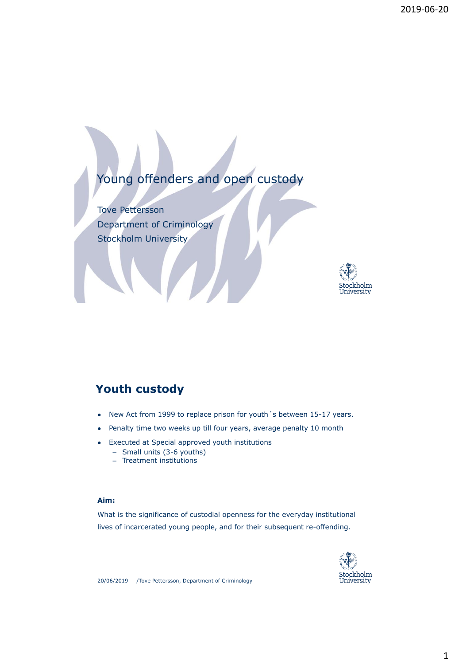# Young offenders and open custody

Tove Pettersson Department of Criminology Stockholm University



### **Youth custody**

- New Act from 1999 to replace prison for youth 's between 15-17 years.
- Penalty time two weeks up till four years, average penalty 10 month
- **Executed at Special approved youth institutions** 
	- Small units (3-6 youths)
	- Treatment institutions

#### **Aim:**

What is the significance of custodial openness for the everyday institutional lives of incarcerated young people, and for their subsequent re-offending.

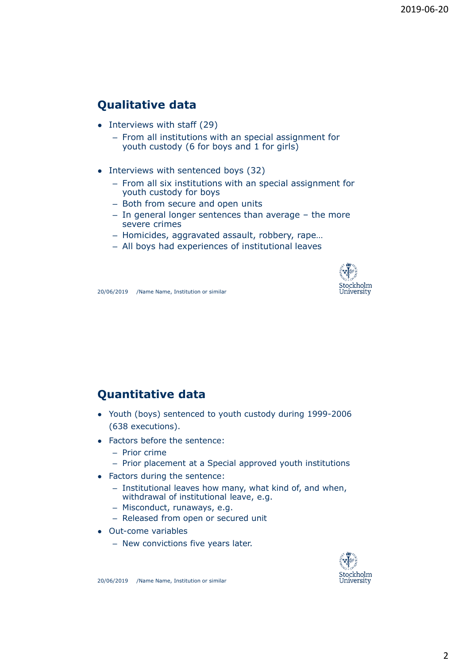## **Qualitative data**

- Interviews with staff (29)
	- From all institutions with an special assignment for youth custody (6 for boys and 1 for girls)
- Interviews with sentenced boys (32)
	- From all six institutions with an special assignment for youth custody for boys
	- Both from secure and open units
	- In general longer sentences than average the more severe crimes
	- Homicides, aggravated assault, robbery, rape…
	- All boys had experiences of institutional leaves



20/06/2019 /Name Name, Institution or similar

### **Quantitative data**

- Youth (boys) sentenced to youth custody during 1999-2006 (638 executions).
- Factors before the sentence:
	- Prior crime
	- Prior placement at a Special approved youth institutions
- Factors during the sentence:
	- Institutional leaves how many, what kind of, and when, withdrawal of institutional leave, e.g.
	- Misconduct, runaways, e.g.
	- Released from open or secured unit
- Out-come variables
	- New convictions five years later.

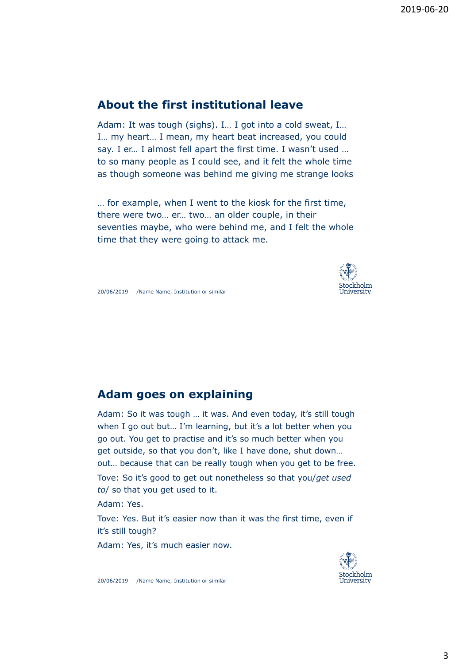### **About the first institutional leave**

Adam: It was tough (sighs). I… I got into a cold sweat, I… I… my heart… I mean, my heart beat increased, you could say. I er… I almost fell apart the first time. I wasn't used … to so many people as I could see, and it felt the whole time as though someone was behind me giving me strange looks

… for example, when I went to the kiosk for the first time, there were two… er… two… an older couple, in their seventies maybe, who were behind me, and I felt the whole time that they were going to attack me.



20/06/2019 /Name Name, Institution or similar

#### **Adam goes on explaining**

Adam: So it was tough … it was. And even today, it's still tough when I go out but… I'm learning, but it's a lot better when you go out. You get to practise and it's so much better when you get outside, so that you don't, like I have done, shut down… out… because that can be really tough when you get to be free. Tove: So it's good to get out nonetheless so that you/*get used* 

*to*/ so that you get used to it.

Adam: Yes.

Tove: Yes. But it's easier now than it was the first time, even if it's still tough?

Adam: Yes, it's much easier now.

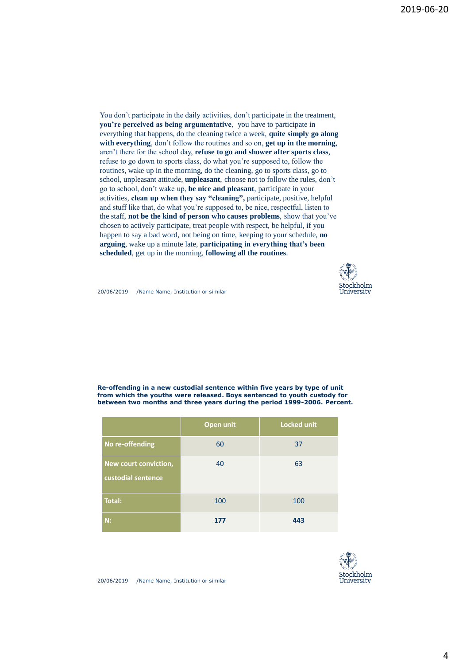You don't participate in the daily activities, don't participate in the treatment, **you're perceived as being argumentative**, you have to participate in everything that happens, do the cleaning twice a week, **quite simply go along with everything**, don't follow the routines and so on, **get up in the morning**, aren't there for the school day, **refuse to go and shower after sports class**, refuse to go down to sports class, do what you're supposed to, follow the routines, wake up in the morning, do the cleaning, go to sports class, go to school, unpleasant attitude, **unpleasant**, choose not to follow the rules, don't go to school, don't wake up, **be nice and pleasant**, participate in your activities, **clean up when they say "cleaning",** participate, positive, helpful and stuff like that, do what you're supposed to, be nice, respectful, listen to the staff, **not be the kind of person who causes problems**, show that you've chosen to actively participate, treat people with respect, be helpful, if you happen to say a bad word, not being on time, keeping to your schedule, **no arguing**, wake up a minute late, **participating in everything that's been scheduled**, get up in the morning, **following all the routines**.



20/06/2019 /Name Name, Institution or similar

**Re-offending in a new custodial sentence within five years by type of unit from which the youths were released. Boys sentenced to youth custody for between two months and three years during the period 1999-2006. Percent.**

|                                             | Open unit | <b>Locked unit</b> |
|---------------------------------------------|-----------|--------------------|
| No re-offending                             | 60        | 37                 |
| New court conviction,<br>custodial sentence | 40        | 63                 |
| <b>Total:</b>                               | 100       | 100                |
| N:                                          | 177       | 443                |